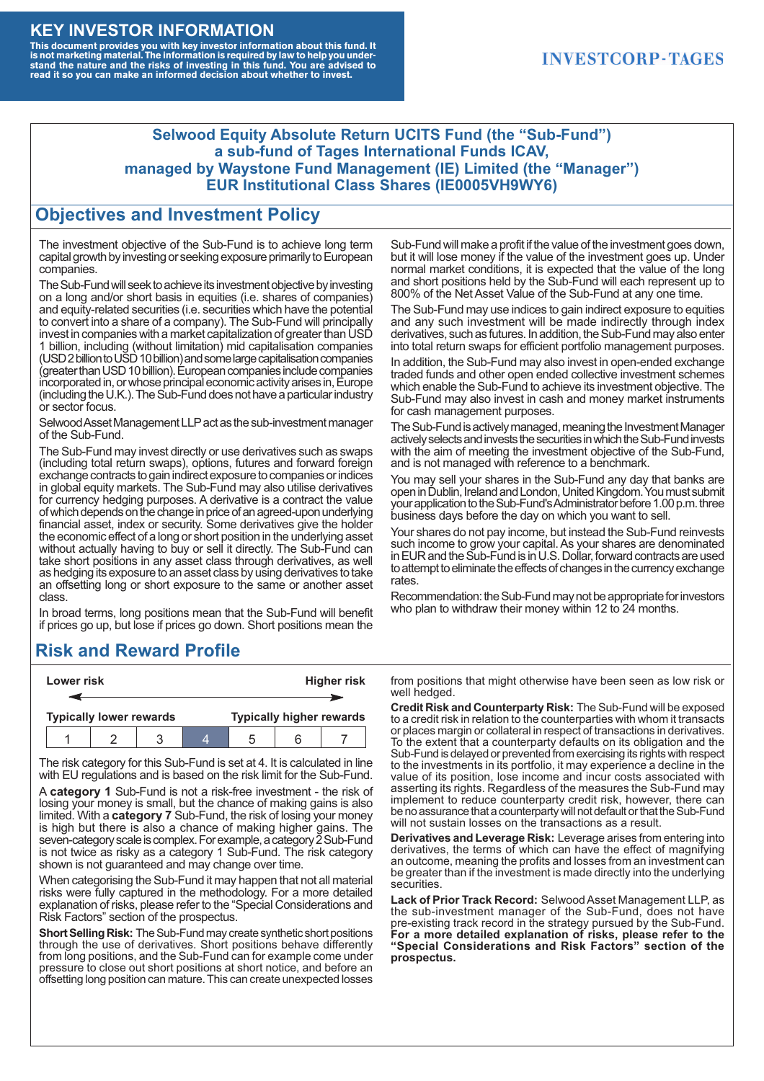#### **KEY INVESTOR INFORMATION**

This document provides you with key investor information about this fund. It<br>is not marketing material. The information is required by law to help you under-<br>stand the nature and the risks of investing in this fund. You ar

#### **INVESTCORP-TAGES**

#### **Selwood Equity Absolute Return UCITS Fund (the "Sub-Fund") a sub-fund of Tages International Funds ICAV, managed by Waystone Fund Management (IE) Limited (the "Manager") EUR Institutional Class Shares (IE0005VH9WY6)**

#### **Objectives and Investment Policy**

The investment objective of the Sub-Fund is to achieve long term capital growth by investing or seeking exposure primarily to European companies.

The Sub-Fund will seek to achieve its investment objective by investing on a long and/or short basis in equities (i.e. shares of companies) and equity-related securities (i.e. securities which have the potential to convert into a share of a company). The Sub-Fund will principally invest in companies with a market capitalization of greater than USD 1 billion, including (without limitation) mid capitalisation companies (USD 2 billion to USD 10 billion) and some large capitalisation companies (greaterthanUSD10billion).European companiesinclude companies incorporated in, or whose principal economic activity arises in, Europe (including the U.K.). The Sub-Fund does not have a particular industry or sector focus.

Selwood Asset Management LLP act as the sub-investment manager of the Sub-Fund.

The Sub-Fund may invest directly or use derivatives such as swaps (including total return swaps), options, futures and forward foreign exchange contracts to gain indirect exposure to companies or indices in global equity markets. The Sub-Fund may also utilise derivatives for currency hedging purposes. A derivative is a contract the value of which depends on the change in price of an agreed-upon underlying financial asset, index or security. Some derivatives give the holder the economic effect of a long or short position in the underlying asset without actually having to buy or sell it directly. The Sub-Fund can take short positions in any asset class through derivatives, as well as hedging its exposure to an asset class by using derivatives to take an offsetting long or short exposure to the same or another asset class.

In broad terms, long positions mean that the Sub-Fund will benefit if prices go up, but lose if prices go down. Short positions mean the

## **Risk and Reward Profile**

|                                | Lower risk |  |  | <b>Higher risk</b>              |  |  |
|--------------------------------|------------|--|--|---------------------------------|--|--|
|                                |            |  |  |                                 |  |  |
| <b>Typically lower rewards</b> |            |  |  | <b>Typically higher rewards</b> |  |  |
|                                |            |  |  | :5                              |  |  |

The risk category for this Sub-Fund is set at 4. It is calculated in line with EU regulations and is based on the risk limit for the Sub-Fund.

A **category 1** Sub-Fund is not a risk-free investment - the risk of losing your money is small, but the chance of making gains is also limited. With a **category 7** Sub-Fund, the risk of losing your money is high but there is also a chance of making higher gains. The seven-category scale is complex. For example, a category 2 Sub-Fund is not twice as risky as a category 1 Sub-Fund. The risk category shown is not guaranteed and may change over time.

When categorising the Sub-Fund it may happen that not all material risks were fully captured in the methodology. For a more detailed explanation of risks, please refer to the "Special Considerations and Risk Factors" section of the prospectus.

**Short Selling Risk:** The Sub-Fund may create synthetic short positions through the use of derivatives. Short positions behave differently from long positions, and the Sub-Fund can for example come under pressure to close out short positions at short notice, and before an offsetting long position can mature. This can create unexpected losses

Sub-Fund will make a profit if the value of the investment goes down, but it will lose money if the value of the investment goes up. Under normal market conditions, it is expected that the value of the long and short positions held by the Sub-Fund will each represent up to 800% of the Net Asset Value of the Sub-Fund at any one time.

The Sub-Fund may use indices to gain indirect exposure to equities and any such investment will be made indirectly through index derivatives, such as futures. In addition, the Sub-Fund may also enter into total return swaps for efficient portfolio management purposes.

In addition, the Sub-Fund may also invest in open-ended exchange traded funds and other open ended collective investment schemes which enable the Sub-Fund to achieve its investment objective. The Sub-Fund may also invest in cash and money market instruments for cash management purposes.

The Sub-Fund is actively managed, meaning the Investment Manager actively selects and invests the securities in which the Sub-Fund invests with the aim of meeting the investment objective of the Sub-Fund, and is not managed with reference to a benchmark.

You may sell your shares in the Sub-Fund any day that banks are open in Dublin, Ireland and London, United Kingdom. You must submit your application to the Sub-Fund's Administrator before 1.00 p.m. three business days before the day on which you want to sell.

Your shares do not pay income, but instead the Sub-Fund reinvests such income to grow your capital. As your shares are denominated in EUR and the Sub-Fund is in U.S. Dollar, forward contracts are used to attempt to eliminate the effects of changes in the currency exchange rates.

Recommendation: the Sub-Fund may not be appropriate for investors who plan to withdraw their money within 12 to 24 months.

from positions that might otherwise have been seen as low risk or well hedged.

**Credit Risk and Counterparty Risk:** The Sub-Fund will be exposed to a credit risk in relation to the counterparties with whom it transacts or places margin or collateral in respect of transactions in derivatives. To the extent that a counterparty defaults on its obligation and the Sub-Fund is delayed or prevented from exercising its rights with respect to the investments in its portfolio, it may experience a decline in the value of its position, lose income and incur costs associated with asserting its rights. Regardless of the measures the Sub-Fund may implement to reduce counterparty credit risk, however, there can be no assurance that a counterparty will not default or that the Sub-Fund will not sustain losses on the transactions as a result.

**Derivatives and Leverage Risk:** Leverage arises from entering into derivatives, the terms of which can have the effect of magnifying an outcome, meaning the profits and losses from an investment can be greater than if the investment is made directly into the underlying **securities**.

**Lack of Prior Track Record:** Selwood Asset Management LLP, as the sub-investment manager of the Sub-Fund, does not have pre-existing track record in the strategy pursued by the Sub-Fund. **For a more detailed explanation of risks, please refer to the "Special Considerations and Risk Factors" section of the prospectus.**